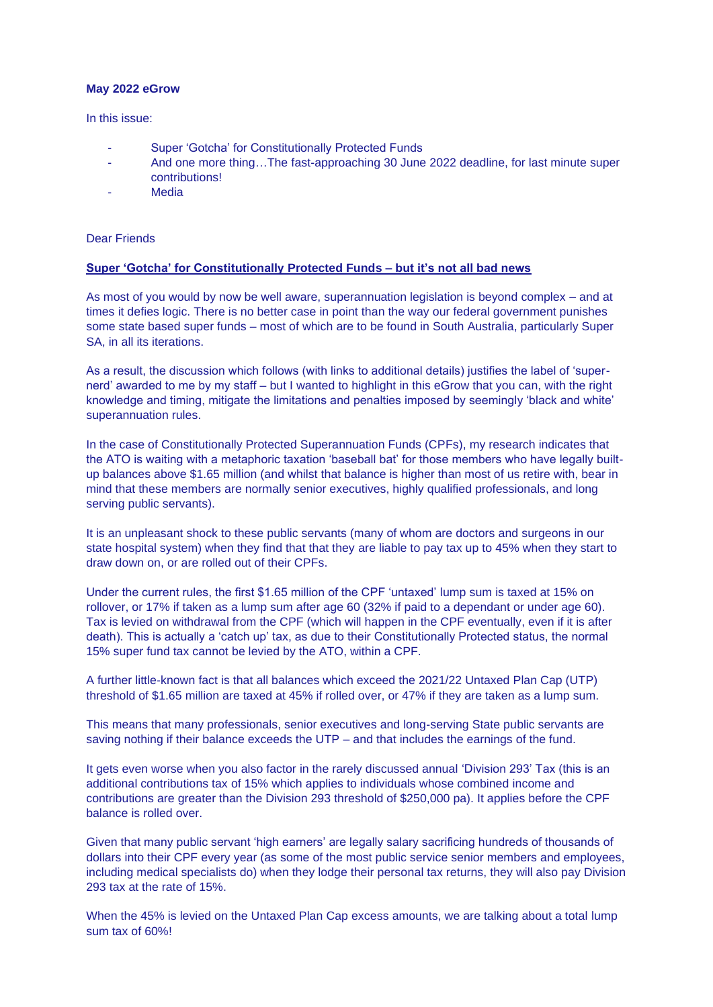## **May 2022 eGrow**

In this issue:

- Super 'Gotcha' for Constitutionally Protected Funds
- And one more thing...The fast-approaching 30 June 2022 deadline, for last minute super contributions!
- **Media**

Dear Friends

## **Super 'Gotcha' for Constitutionally Protected Funds – but it's not all bad news**

As most of you would by now be well aware, superannuation legislation is beyond complex – and at times it defies logic. There is no better case in point than the way our federal government punishes some state based super funds – most of which are to be found in South Australia, particularly Super SA, in all its iterations.

As a result, the discussion which follows (with links to additional details) justifies the label of 'supernerd' awarded to me by my staff – but I wanted to highlight in this eGrow that you can, with the right knowledge and timing, mitigate the limitations and penalties imposed by seemingly 'black and white' superannuation rules.

In the case of Constitutionally Protected Superannuation Funds (CPFs), my research indicates that the ATO is waiting with a metaphoric taxation 'baseball bat' for those members who have legally builtup balances above \$1.65 million (and whilst that balance is higher than most of us retire with, bear in mind that these members are normally senior executives, highly qualified professionals, and long serving public servants).

It is an unpleasant shock to these public servants (many of whom are doctors and surgeons in our state hospital system) when they find that that they are liable to pay tax up to 45% when they start to draw down on, or are rolled out of their CPFs.

Under the current rules, the first \$1.65 million of the CPF 'untaxed' lump sum is taxed at 15% on rollover, or 17% if taken as a lump sum after age 60 (32% if paid to a dependant or under age 60). Tax is levied on withdrawal from the CPF (which will happen in the CPF eventually, even if it is after death). This is actually a 'catch up' tax, as due to their Constitutionally Protected status, the normal 15% super fund tax cannot be levied by the ATO, within a CPF.

A further little-known fact is that all balances which exceed the 2021/22 Untaxed Plan Cap (UTP) threshold of \$1.65 million are taxed at 45% if rolled over, or 47% if they are taken as a lump sum.

This means that many professionals, senior executives and long-serving State public servants are saving nothing if their balance exceeds the UTP – and that includes the earnings of the fund.

It gets even worse when you also factor in the rarely discussed annual 'Division 293' Tax (this is an additional contributions tax of 15% which applies to individuals whose combined income and contributions are greater than the Division 293 threshold of \$250,000 pa). It applies before the CPF balance is rolled over.

Given that many public servant 'high earners' are legally salary sacrificing hundreds of thousands of dollars into their CPF every year (as some of the most public service senior members and employees, including medical specialists do) when they lodge their personal tax returns, they will also pay Division 293 tax at the rate of 15%.

When the 45% is levied on the Untaxed Plan Cap excess amounts, we are talking about a total lump sum tax of 60%!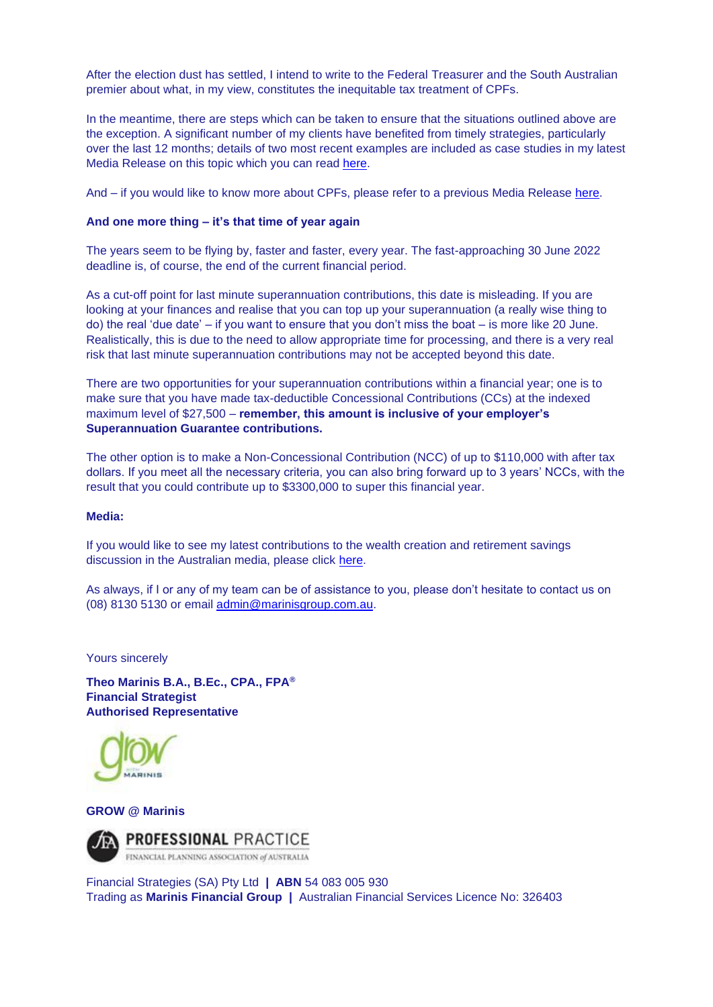After the election dust has settled, I intend to write to the Federal Treasurer and the South Australian premier about what, in my view, constitutes the inequitable tax treatment of CPFs.

In the meantime, there are steps which can be taken to ensure that the situations outlined above are the exception. A significant number of my clients have benefited from timely strategies, particularly over the last 12 months; details of two most recent examples are included as case studies in my latest Media Release on this topic which you can read [here.](https://www.marinisgroup.com.au/assets/Media%20PDFs/Media_Release_No_141_-_2022_05_20_-_Super_%e2%80%98Gotcha%e2%80%99_for_Constitutionally_Protected_Funds.pdf)

And – if you would like to know more about CPFs, please refer to a previous Media Release [here.](https://www.marinisgroup.com.au/assets/2009_12_01_-_MR_35_-_Unique_Super_Opportunity_for_Public_Servants.pdf)

## **And one more thing – it's that time of year again**

The years seem to be flying by, faster and faster, every year. The fast-approaching 30 June 2022 deadline is, of course, the end of the current financial period.

As a cut-off point for last minute superannuation contributions, this date is misleading. If you are looking at your finances and realise that you can top up your superannuation (a really wise thing to do) the real 'due date' – if you want to ensure that you don't miss the boat – is more like 20 June. Realistically, this is due to the need to allow appropriate time for processing, and there is a very real risk that last minute superannuation contributions may not be accepted beyond this date.

There are two opportunities for your superannuation contributions within a financial year; one is to make sure that you have made tax-deductible Concessional Contributions (CCs) at the indexed maximum level of \$27,500 – **remember, this amount is inclusive of your employer's Superannuation Guarantee contributions.**

The other option is to make a Non-Concessional Contribution (NCC) of up to \$110,000 with after tax dollars. If you meet all the necessary criteria, you can also bring forward up to 3 years' NCCs, with the result that you could contribute up to \$3300,000 to super this financial year.

## **Media:**

If you would like to see my latest contributions to the wealth creation and retirement savings discussion in the Australian media, please click [here.](https://www.marinisgroup.com.au/media/2022/)

As always, if I or any of my team can be of assistance to you, please don't hesitate to contact us on (08) 8130 5130 or email [admin@marinisgroup.com.au.](mailto:admin@marinisgroup.com.au)

Yours sincerely

**Theo Marinis B.A., B.Ec., CPA., FPA® Financial Strategist Authorised Representative**



**GROW @ Marinis**



Financial Strategies (SA) Pty Ltd **| ABN** 54 083 005 930 Trading as **Marinis Financial Group |** Australian Financial Services Licence No: 326403